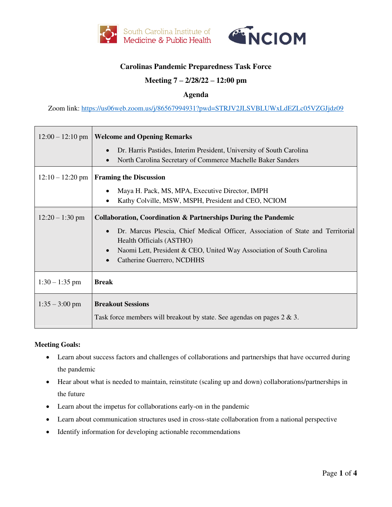



# **Carolinas Pandemic Preparedness Task Force**

## **Meeting 7 – 2/28/22 – 12:00 pm**

### **Agenda**

Zoom link:<https://us06web.zoom.us/j/86567994931?pwd=STRJV2JLSVBLUWxLdEZLc05VZGJjdz09>

| $12:00 - 12:10$ pm | <b>Welcome and Opening Remarks</b>                                                                |
|--------------------|---------------------------------------------------------------------------------------------------|
|                    | Dr. Harris Pastides, Interim President, University of South Carolina<br>$\bullet$                 |
|                    | North Carolina Secretary of Commerce Machelle Baker Sanders                                       |
| $12:10 - 12:20$ pm | <b>Framing the Discussion</b>                                                                     |
|                    | Maya H. Pack, MS, MPA, Executive Director, IMPH                                                   |
|                    | Kathy Colville, MSW, MSPH, President and CEO, NCIOM                                               |
| $12:20 - 1:30$ pm  | <b>Collaboration, Coordination &amp; Partnerships During the Pandemic</b>                         |
|                    | Dr. Marcus Plescia, Chief Medical Officer, Association of State and Territorial<br>$\bullet$      |
|                    | Health Officials (ASTHO)<br>Naomi Lett, President & CEO, United Way Association of South Carolina |
|                    | Catherine Guerrero, NCDHHS                                                                        |
|                    |                                                                                                   |
| $1:30 - 1:35$ pm   | <b>Break</b>                                                                                      |
| $1:35 - 3:00$ pm   | <b>Breakout Sessions</b>                                                                          |
|                    | Task force members will breakout by state. See agendas on pages $2 \& 3$ .                        |

#### **Meeting Goals:**

- Learn about success factors and challenges of collaborations and partnerships that have occurred during the pandemic
- Hear about what is needed to maintain, reinstitute (scaling up and down) collaborations/partnerships in the future
- Learn about the impetus for collaborations early-on in the pandemic
- Learn about communication structures used in cross-state collaboration from a national perspective
- Identify information for developing actionable recommendations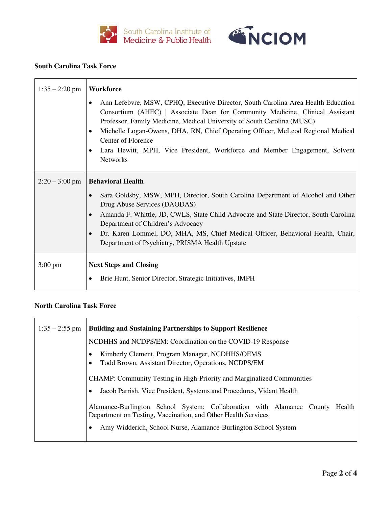



#### **South Carolina Task Force**

h

| $1:35 - 2:20$ pm  | Workforce                                                                                                                                                                                                                                                                                                                                                                                                                                                            |
|-------------------|----------------------------------------------------------------------------------------------------------------------------------------------------------------------------------------------------------------------------------------------------------------------------------------------------------------------------------------------------------------------------------------------------------------------------------------------------------------------|
|                   | Ann Lefebvre, MSW, CPHQ, Executive Director, South Carolina Area Health Education<br>Consortium (AHEC)   Associate Dean for Community Medicine, Clinical Assistant<br>Professor, Family Medicine, Medical University of South Carolina (MUSC)<br>Michelle Logan-Owens, DHA, RN, Chief Operating Officer, McLeod Regional Medical<br>$\bullet$<br>Center of Florence<br>Lara Hewitt, MPH, Vice President, Workforce and Member Engagement, Solvent<br><b>Networks</b> |
| $2:20 - 3:00$ pm  | <b>Behavioral Health</b><br>Sara Goldsby, MSW, MPH, Director, South Carolina Department of Alcohol and Other<br>Drug Abuse Services (DAODAS)<br>Amanda F. Whittle, JD, CWLS, State Child Advocate and State Director, South Carolina<br>$\bullet$<br>Department of Children's Advocacy<br>Dr. Karen Lommel, DO, MHA, MS, Chief Medical Officer, Behavioral Health, Chair,<br>$\bullet$<br>Department of Psychiatry, PRISMA Health Upstate                            |
| $3:00 \text{ pm}$ | <b>Next Steps and Closing</b><br>Brie Hunt, Senior Director, Strategic Initiatives, IMPH                                                                                                                                                                                                                                                                                                                                                                             |

## **North Carolina Task Force**

| $1:35 - 2:55$ pm | <b>Building and Sustaining Partnerships to Support Resilience</b>                                                                                                                                               |
|------------------|-----------------------------------------------------------------------------------------------------------------------------------------------------------------------------------------------------------------|
|                  | NCDHHS and NCDPS/EM: Coordination on the COVID-19 Response                                                                                                                                                      |
|                  | Kimberly Clement, Program Manager, NCDHHS/OEMS<br>Todd Brown, Assistant Director, Operations, NCDPS/EM                                                                                                          |
|                  | CHAMP: Community Testing in High-Priority and Marginalized Communities                                                                                                                                          |
|                  | Jacob Parrish, Vice President, Systems and Procedures, Vidant Health                                                                                                                                            |
|                  | Alamance-Burlington School System: Collaboration with Alamance County Health<br>Department on Testing, Vaccination, and Other Health Services<br>Amy Widderich, School Nurse, Alamance-Burlington School System |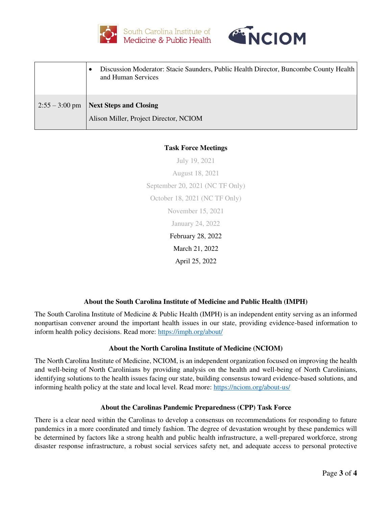



|                  | Discussion Moderator: Stacie Saunders, Public Health Director, Buncombe County Health  <br>$\bullet$<br>and Human Services |
|------------------|----------------------------------------------------------------------------------------------------------------------------|
| $2:55 - 3:00$ pm | Next Steps and Closing<br>Alison Miller, Project Director, NCIOM                                                           |

## **Task Force Meetings**

July 19, 2021 August 18, 2021 September 20, 2021 (NC TF Only) October 18, 2021 (NC TF Only) November 15, 2021 January 24, 2022 February 28, 2022 March 21, 2022 April 25, 2022

## **About the South Carolina Institute of Medicine and Public Health (IMPH)**

The South Carolina Institute of Medicine & Public Health (IMPH) is an independent entity serving as an informed nonpartisan convener around the important health issues in our state, providing evidence-based information to inform health policy decisions. Read more:<https://imph.org/about/>

#### **About the North Carolina Institute of Medicine (NCIOM)**

The North Carolina Institute of Medicine, NCIOM, is an independent organization focused on improving the health and well-being of North Carolinians by providing analysis on the health and well-being of North Carolinians, identifying solutions to the health issues facing our state, building consensus toward evidence-based solutions, and informing health policy at the state and local level. Read more:<https://nciom.org/about-us/>

#### **About the Carolinas Pandemic Preparedness (CPP) Task Force**

There is a clear need within the Carolinas to develop a consensus on recommendations for responding to future pandemics in a more coordinated and timely fashion. The degree of devastation wrought by these pandemics will be determined by factors like a strong health and public health infrastructure, a well-prepared workforce, strong disaster response infrastructure, a robust social services safety net, and adequate access to personal protective